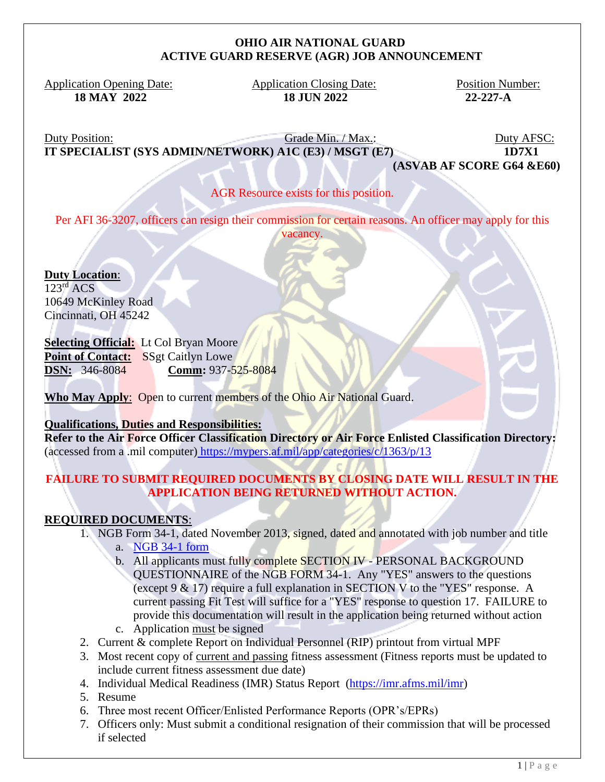#### **OHIO AIR NATIONAL GUARD ACTIVE GUARD RESERVE (AGR) JOB ANNOUNCEMENT**

Application Opening Date: Application Closing Date: Position Number:  **18 MAY 2022 18 JUN 2022 22-227-A**

Duty Position: Grade Min. / Max.: Duty AFSC: **IT SPECIALIST (SYS ADMIN/NETWORK) A1C (E3) / MSGT (E7) 1D7X1** 

**(ASVAB AF SCORE G64 &E60)**

## AGR Resource exists for this position.

Per AFI 36-3207, officers can resign their commission for certain reasons. An officer may apply for this vacancy.

**Duty Location**:  $123<sup>rd</sup>$  ACS 10649 McKinley Road Cincinnati, OH 45242

## **Selecting Official:** Lt Col Bryan Moore

Point of Contact: SSgt Caitlyn Lowe **DSN:** 346-8084 **Comm:** 937-525-8084

Who May Apply: Open to current members of the Ohio Air National Guard.

#### **Qualifications, Duties and Responsibilities:**

**Refer to the Air Force Officer Classification Directory or Air Force Enlisted Classification Directory:** (accessed from a .mil computer) <https://mypers.af.mil/app/categories/c/1363/p/13>

## **FAILURE TO SUBMIT REQUIRED DOCUMENTS BY CLOSING DATE WILL RESULT IN THE APPLICATION BEING RETURNED WITHOUT ACTION.**

# **REQUIRED DOCUMENTS**:

- 1. NGB Form 34-1, dated November 2013, signed, dated and annotated with job number and title
	- a. [NGB 34-1 form](file:///C:/Users/bethany.d.tronafarle/Desktop/NGB%2034-1.pdf)
	- b. All applicants must fully complete SECTION IV PERSONAL BACKGROUND QUESTIONNAIRE of the NGB FORM 34-1. Any "YES" answers to the questions (except 9 & 17) require a full explanation in SECTION V to the "YES" response. A current passing Fit Test will suffice for a "YES" response to question 17. FAILURE to provide this documentation will result in the application being returned without action
	- c. Application must be signed
- 2. Current & complete Report on Individual Personnel (RIP) printout from virtual MPF
- 3. Most recent copy of current and passing fitness assessment (Fitness reports must be updated to include current fitness assessment due date)
- 4. Individual Medical Readiness (IMR) Status Report [\(https://imr.afms.mil/imr\)](https://imr.afms.mil/imr)
- 5. Resume
- 6. Three most recent Officer/Enlisted Performance Reports (OPR's/EPRs)
- 7. Officers only: Must submit a conditional resignation of their commission that will be processed if selected